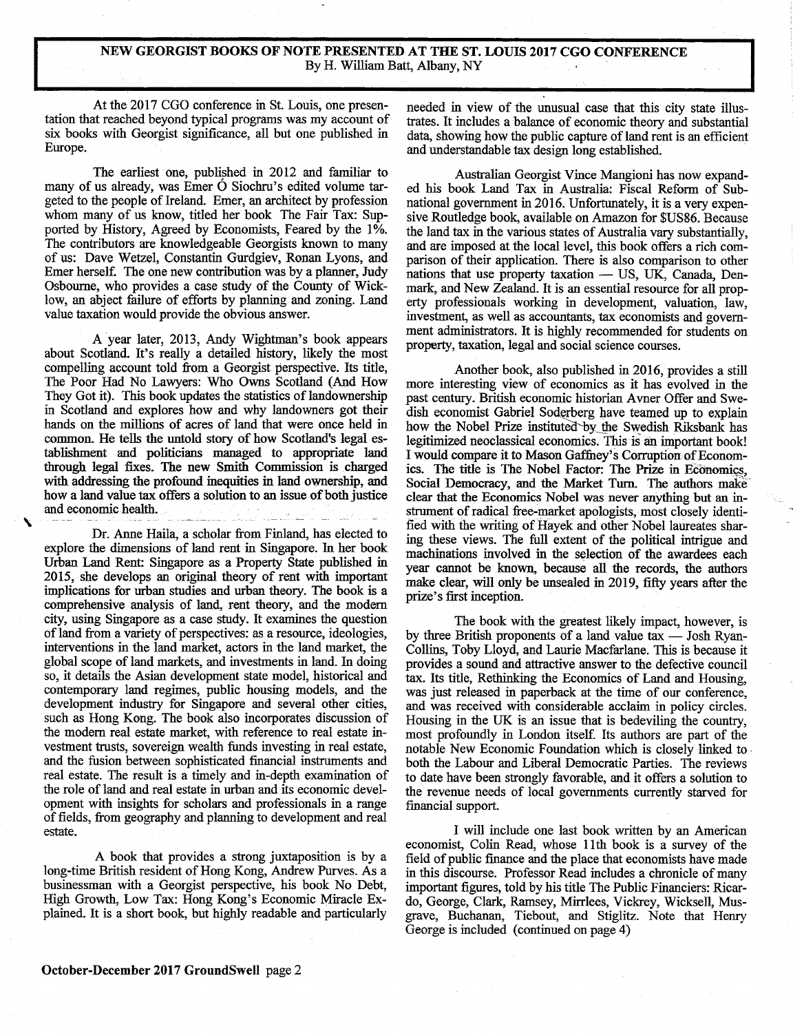## **NEW GEORGIST BOOKS OF NOTE PRESENTED AT THE ST. LOUIS 2017 CGO CONFERENCE**  By H. William Batt, Albany, NY

At the 2017 CGO conference in St. Louis, one presentation that reached beyond typical programs was my account of six books with Georgist significance, all but one published in Europe.

The earliest one, published in 2012 and familiar to many of us already, was Emer O Siochru's edited volume targeted to the people of Ireland. Emer, an architect by profession whom many of us know, titled her book The Fair Tax: Supported by History, Agreed by Economists, Feared by the 1%. The contributors are knowledgeable Georgists known to many of us: Dave Wetzel, Constantin Gurdgiev, Ronan Lyons, and Emer herself. The one new contribution was by a planner, Judy Osbourne, who provides a case study of the County of Wicklow, an abject failure of efforts by planning and zoning. Land value taxation would provide the obvious answer.

A year later, 2013, Andy Wightman's book appears about Scotland. It's really a detailed history, likely the most compelling account told from a Georgist perspective. Its title, The Poor Had No Lawyers: Who Owns Scotland (And How They Got it). This book updates the statistics of landownership in Scotland and explores how and why landowners got their hands on the millions of acres of land that were once held in common. He tells the untold story of how Scotland's legal establishment and politicians managed to appropriate land through legal fixes. The new Smith Commission is charged with addressing the profound inequities in land ownership, and how a land value tax offers a solution to an issue of both justice and economic health

Dr. Anne Haila, a scholar from Finland, has elected to explore the dimensions of land rent in Singapore. In her book Urban Land Rent: Singapore as a Property State published in 2015, she develops an original theory of rent with important implications for urban studies and urban theory. The book is a comprehensive analysis of land, rent theory, and the modem city, using Singapore as a case study. It examines the question of land from a variety of perspectives: as a resource, ideologies, interventions in the land market, actors in the land market, the global scope of land markets, and investments in land. In doing so, it details the Asian development state model, historical and contemporary land regimes, public housing models, and the development industry for Singapore and several other cities, such as Hong Kong. The book also incorporates discussion of the modem real estate market, with reference to real estate investment trusts, sovereign wealth funds investing in real estate, and the fusion between sophisticated financial instruments and real estate. The result is a timely and in-depth examination of the role of land and real estate in urban and its economic development with insights for scholars and professionals in a range of fields, from geography and planning to development and real estate.

A book that provides a strong juxtaposition is by a long-time British resident of Hong Kong, Andrew Purves. As a businessman with a Georgist perspective, his book No Debt, High Growth, Low Tax: Hong Kong's Economic Miracle Explained. It is a short book, but highly readable and particularly needed in view of the unusual case that this city state illustrates. It includes a balance of economic theory and substantial data, showing how the public capture of land rent is an efficient and understandable tax design long established.

Australian Georgist Vince Mangioni has now expanded his book Land Tax in Australia: Fiscal Reform of Subnational government in 2016. Unfortunately, it is a very expensive Routledge book, available on Amazon for \$US86. Because the land tax in the various states of Australia vary substantially, and are imposed at the local level, this book offers a rich comparison of their application. There is also comparison to other nations that use property taxation  $-$  US, UK, Canada, Denmark, and New Zealand. It is an essential resource for all property professionals working in development, valuation, law, investment, as well as accountants, tax economists and government administrators. It is highly recommended for students on property, taxation, legal and social science courses.

Another book, also published in 2016, provides a still more interesting view of economics as it has evolved in the past century. British economic historian Avner Offer and Swedish economist Gabriel Soderberg have teamed up to explain how the Nobel Prize instituted by the Swedish Riksbank has legitimized neoclassical economics. This is an important book! I would compare it to Mason Gaffriey's Corruption of Economics. The title is The Nobel Factor: The Prize in Economics, Social Democracy, and the Market Turn. The authors make clear that the Economics Nobel was never anything but an instrument of radical free-market apologists, most closely identified with the writing of Hayek and other Nobel laureates sharing these views. The full extent of the political intrigue and machinations involved in the selection of the awardees each year cannot be known, because all the records, the authors make clear, will only be unsealed in 2019, fifty years after the prize's first inception.

The book with the greatest likely impact, however, is by three British proponents of a land value  $tax -$  Josh Ryan-Collins, Toby Lloyd, and Laurie Macfarlane. This is because it provides a sound and attractive answer to the defective council tax. Its title, Rethinking the Economics of Land and Housing, was just released in paperback at the time of our conference, and was received with considerable acclaim in policy circles. Housing in the UK is an issue that is bedeviling the country, most profoundly in London itself. Its authors are part of the notable New Economic Foundation which is closely linked to both the Labour and Liberal Democratic Parties. The reviews to date have been strongly favorable, and it offers a solution to the revenue needs of local governments currently starved for financial support.

I will include one last book written by an American economist, Colin Read, whose 11th book is a survey of the field of public finance and the place that economists have made in this discourse. Professor Read includes a chronicle of many important figures, told by his title The Public Financiers: Ricardo, George, Clark, Ramsey, Mirrlees, Vickrey, Wicksell, Musgrave, Buchanan, Tiebout, and Stiglitz. Note that Henry George is included (continued on page 4)